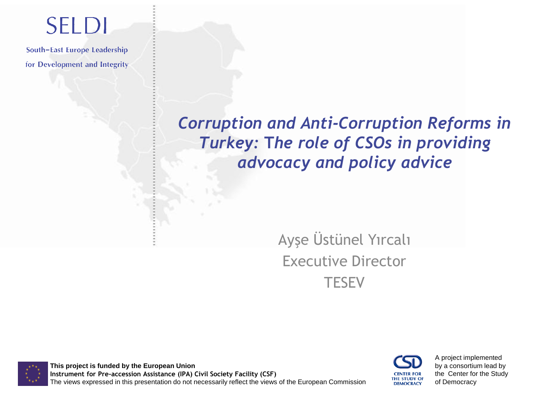## **SELDI**

South-East Europe Leadership for Development and Integrity

#### *Corruption and Anti-Corruption Reforms in Turkey:* **T***he role of CSOs in providing advocacy and policy advice*

#### Ayşe Üstünel Yırcalı Executive Director **TESEV**

**This project is funded by the European Union Instrument for Pre-accession Assistance (IPA) Civil Society Facility (CSF)** The views expressed in this presentation do not necessarily reflect the views of the European Commission



A project implemented by a consortium lead by the Center for the Study of Democracy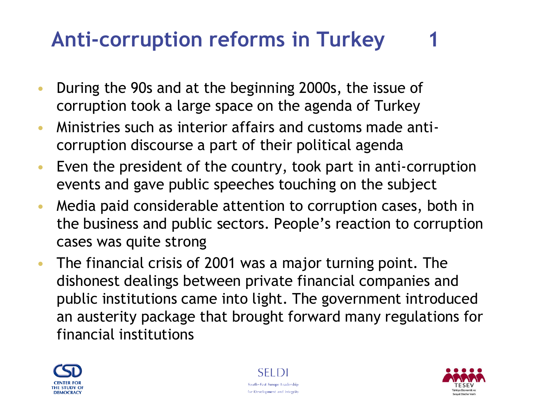- During the 90s and at the beginning 2000s, the issue of corruption took a large space on the agenda of Turkey
- Ministries such as interior affairs and customs made anticorruption discourse a part of their political agenda
- Even the president of the country, took part in anti-corruption events and gave public speeches touching on the subject
- Media paid considerable attention to corruption cases, both in the business and public sectors. People's reaction to corruption cases was quite strong
- The financial crisis of 2001 was a major turning point. The dishonest dealings between private financial companies and public institutions came into light. The government introduced an austerity package that brought forward many regulations for financial institutions





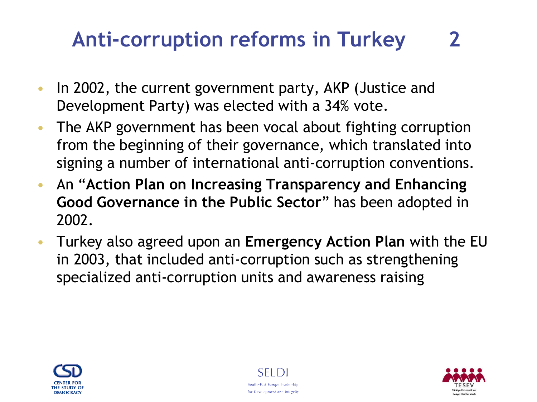- In 2002, the current government party, AKP (Justice and Development Party) was elected with a 34% vote.
- The AKP government has been vocal about fighting corruption from the beginning of their governance, which translated into signing a number of international anti-corruption conventions.
- An "**Action Plan on Increasing Transparency and Enhancing Good Governance in the Public Sector**" has been adopted in 2002.
- Turkey also agreed upon an **Emergency Action Plan** with the EU in 2003, that included anti-corruption such as strengthening specialized anti-corruption units and awareness raising





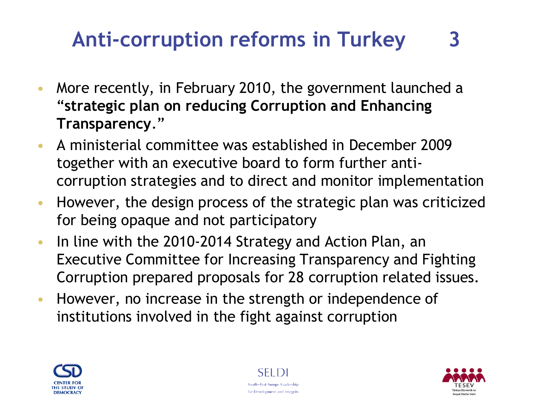- More recently, in February 2010, the government launched a "**strategic plan on reducing Corruption and Enhancing Transparency**."
- A ministerial committee was established in December 2009 together with an executive board to form further anticorruption strategies and to direct and monitor implementation
- However, the design process of the strategic plan was criticized for being opaque and not participatory
- In line with the 2010-2014 Strategy and Action Plan, an Executive Committee for Increasing Transparency and Fighting Corruption prepared proposals for 28 corruption related issues.
- However, no increase in the strength or independence of institutions involved in the fight against corruption





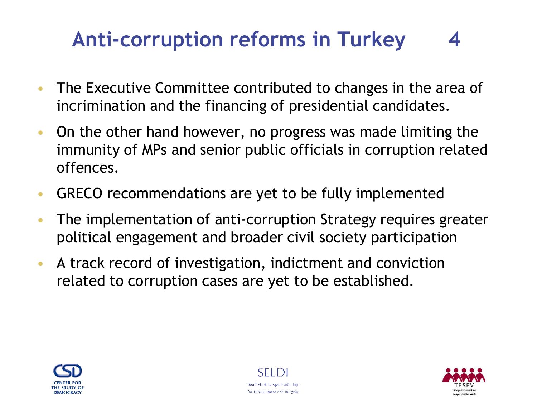- The Executive Committee contributed to changes in the area of incrimination and the financing of presidential candidates.
- On the other hand however, no progress was made limiting the immunity of MPs and senior public officials in corruption related offences.
- GRECO recommendations are yet to be fully implemented
- The implementation of anti-corruption Strategy requires greater political engagement and broader civil society participation
- A track record of investigation, indictment and conviction related to corruption cases are yet to be established.





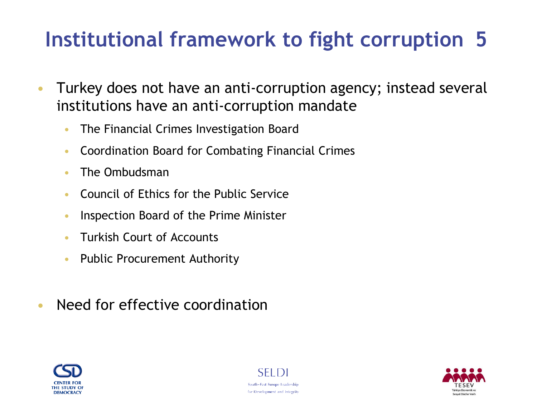### **Institutional framework to fight corruption 5**

- Turkey does not have an anti-corruption agency; instead several institutions have an anti-corruption mandate
	- The Financial Crimes Investigation Board
	- Coordination Board for Combating Financial Crimes
	- The Ombudsman
	- Council of Ethics for the Public Service
	- Inspection Board of the Prime Minister
	- Turkish Court of Accounts
	- Public Procurement Authority
- Need for effective coordination





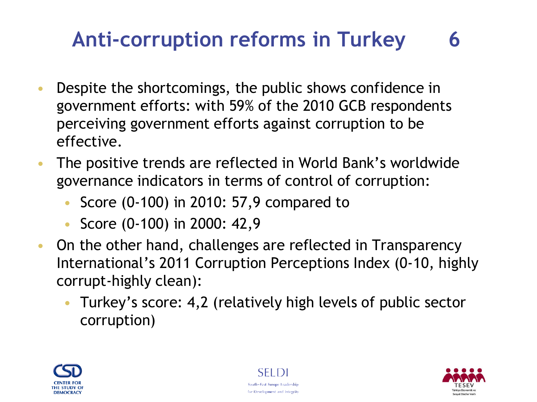- Despite the shortcomings, the public shows confidence in government efforts: with 59% of the 2010 GCB respondents perceiving government efforts against corruption to be effective.
- The positive trends are reflected in World Bank's worldwide governance indicators in terms of control of corruption:
	- Score (0-100) in 2010: 57,9 compared to
	- Score (0-100) in 2000: 42,9
- On the other hand, challenges are reflected in Transparency International's 2011 Corruption Perceptions Index (0-10, highly corrupt-highly clean):
	- Turkey's score: 4,2 (relatively high levels of public sector corruption)





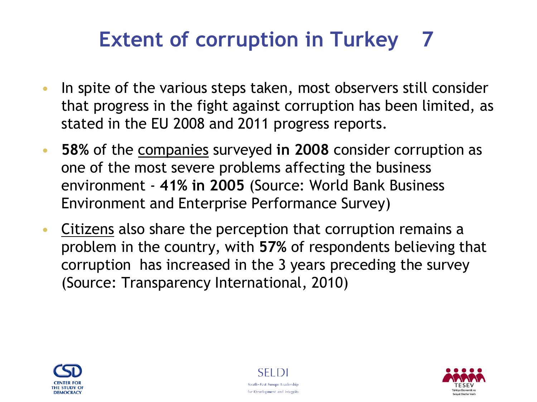### **Extent of corruption in Turkey 7**

- In spite of the various steps taken, most observers still consider that progress in the fight against corruption has been limited, as stated in the EU 2008 and 2011 progress reports.
- **58%** of the companies surveyed **in 2008** consider corruption as one of the most severe problems affecting the business environment - **41% in 2005** (Source: World Bank Business Environment and Enterprise Performance Survey)
- Citizens also share the perception that corruption remains a problem in the country, with **57%** of respondents believing that corruption has increased in the 3 years preceding the survey (Source: Transparency International, 2010)





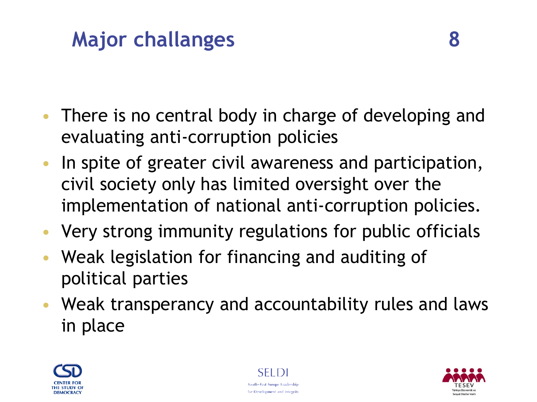### **Major challanges 8**

- There is no central body in charge of developing and evaluating anti-corruption policies
- In spite of greater civil awareness and participation, civil society only has limited oversight over the implementation of national anti-corruption policies.
- Very strong immunity regulations for public officials
- Weak legislation for financing and auditing of political parties
- Weak transperancy and accountability rules and laws in place





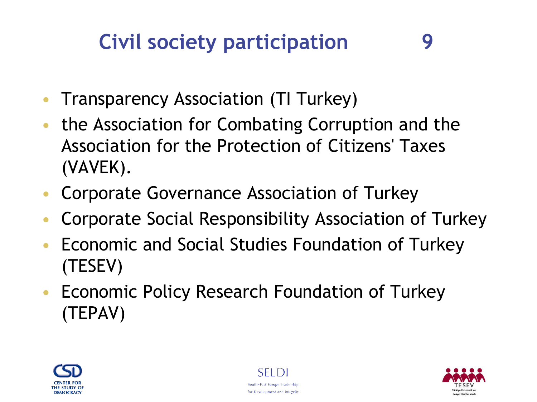### **Civil society participation 9**

- Transparency Association (TI Turkey)
- the Association for Combating Corruption and the Association for the Protection of Citizens' Taxes (VAVEK).
- Corporate Governance Association of Turkey
- Corporate Social Responsibility Association of Turkey
- Economic and Social Studies Foundation of Turkey (TESEV)
- Economic Policy Research Foundation of Turkey (TEPAV)





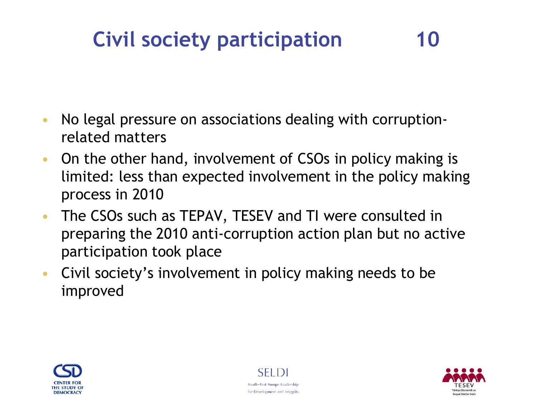### **Civil society participation 10**

- No legal pressure on associations dealing with corruptionrelated matters
- On the other hand, involvement of CSOs in policy making is limited: less than expected involvement in the policy making process in 2010
- The CSOs such as TEPAV, TESEV and TI were consulted in preparing the 2010 anti-corruption action plan but no active participation took place
- Civil society's involvement in policy making needs to be improved





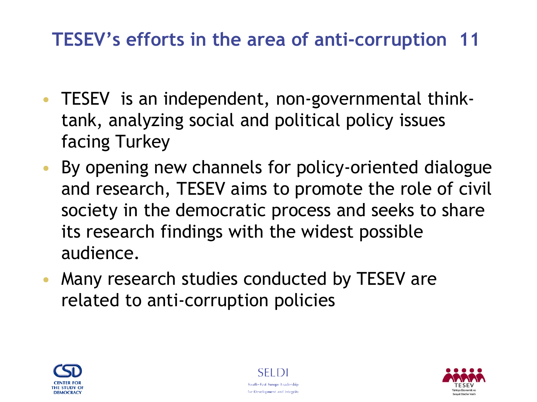#### **TESEV's efforts in the area of anti-corruption 11**

- TESEV is an independent, non-governmental thinktank, analyzing social and political policy issues facing Turkey
- By opening new channels for policy-oriented dialogue and research, TESEV aims to promote the role of civil society in the democratic process and seeks to share its research findings with the widest possible audience.
- Many research studies conducted by TESEV are related to anti-corruption policies





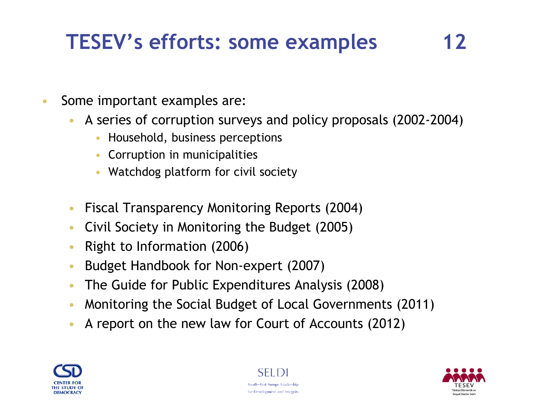## **TESEV's efforts: some examples 12**

- Some important examples are:
	- A series of corruption surveys and policy proposals (2002-2004)
		- Household, business perceptions
		- Corruption in municipalities
		- Watchdog platform for civil society
	- Fiscal Transparency Monitoring Reports (2004)
	- Civil Society in Monitoring the Budget (2005)
	- Right to Information (2006)
	- Budget Handbook for Non-expert (2007)
	- The Guide for Public Expenditures Analysis (2008)
	- Monitoring the Social Budget of Local Governments (2011)
	- A report on the new law for Court of Accounts (2012)





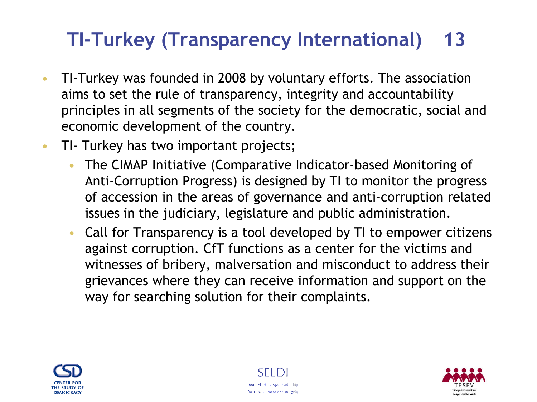#### **TI-Turkey (Transparency International) 13**

- TI-Turkey was founded in 2008 by voluntary efforts. The association aims to set the rule of transparency, integrity and accountability principles in all segments of the society for the democratic, social and economic development of the country.
- TI- Turkey has two important projects;
	- The CIMAP Initiative (Comparative Indicator-based Monitoring of Anti-Corruption Progress) is designed by TI to monitor the progress of accession in the areas of governance and anti-corruption related issues in the judiciary, legislature and public administration.
	- Call for Transparency is a tool developed by TI to empower citizens against corruption. CfT functions as a center for the victims and witnesses of bribery, malversation and misconduct to address their grievances where they can receive information and support on the way for searching solution for their complaints.





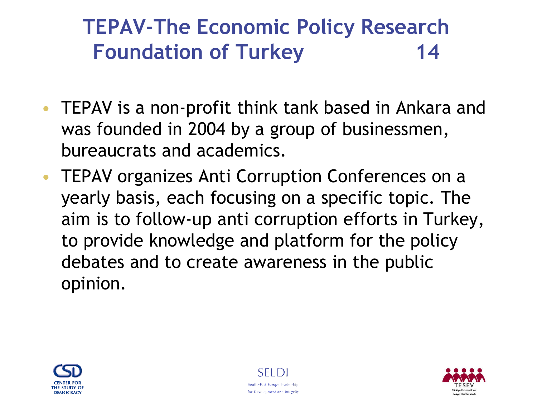### **TEPAV-The Economic Policy Research Foundation of Turkey 14**

- TEPAV is a non-profit think tank based in Ankara and was founded in 2004 by a group of businessmen, bureaucrats and academics.
- TEPAV organizes Anti Corruption Conferences on a yearly basis, each focusing on a specific topic. The aim is to follow-up anti corruption efforts in Turkey, to provide knowledge and platform for the policy debates and to create awareness in the public opinion.